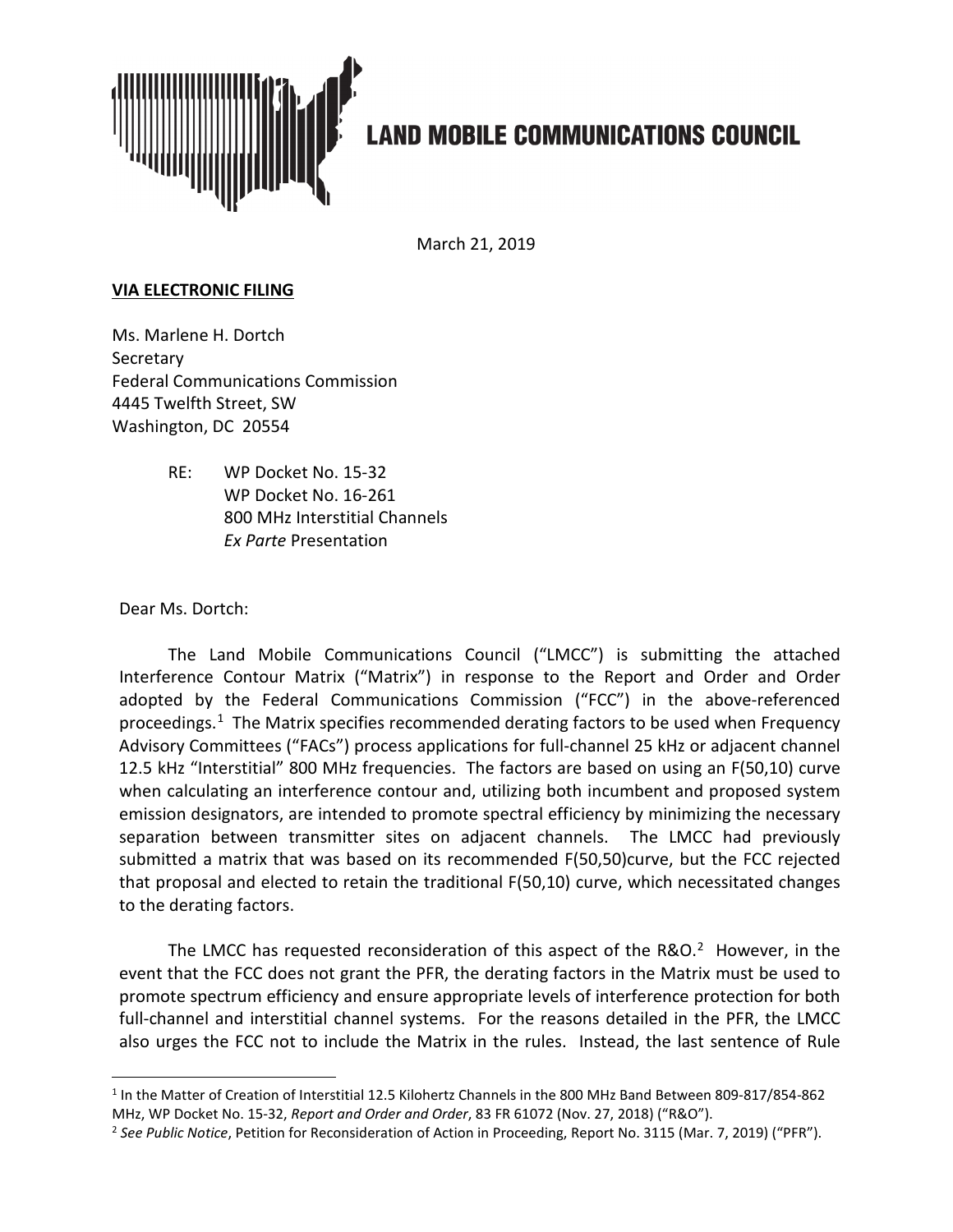

## **LAND MOBILE COMMUNICATIONS COUNCIL**

March 21, 2019

## **VIA ELECTRONIC FILING**

Ms. Marlene H. Dortch **Secretary** Federal Communications Commission 4445 Twelfth Street, SW Washington, DC 20554

> RE: WP Docket No. 15-32 WP Docket No. 16-261 800 MHz Interstitial Channels *Ex Parte* Presentation

Dear Ms. Dortch:

 $\overline{a}$ 

The Land Mobile Communications Council ("LMCC") is submitting the attached Interference Contour Matrix ("Matrix") in response to the Report and Order and Order adopted by the Federal Communications Commission ("FCC") in the above-referenced proceedings.<sup>1</sup> The Matrix specifies recommended derating factors to be used when Frequency Advisory Committees ("FACs") process applications for full-channel 25 kHz or adjacent channel 12.5 kHz "Interstitial" 800 MHz frequencies. The factors are based on using an F(50,10) curve when calculating an interference contour and, utilizing both incumbent and proposed system emission designators, are intended to promote spectral efficiency by minimizing the necessary separation between transmitter sites on adjacent channels. The LMCC had previously submitted a matrix that was based on its recommended F(50,50)curve, but the FCC rejected that proposal and elected to retain the traditional F(50,10) curve, which necessitated changes to the derating factors.

The LMCC has requested reconsideration of this aspect of the  $R&O.<sup>2</sup>$  However, in the event that the FCC does not grant the PFR, the derating factors in the Matrix must be used to promote spectrum efficiency and ensure appropriate levels of interference protection for both full-channel and interstitial channel systems. For the reasons detailed in the PFR, the LMCC also urges the FCC not to include the Matrix in the rules. Instead, the last sentence of Rule

<sup>1</sup> In the Matter of Creation of Interstitial 12.5 Kilohertz Channels in the 800 MHz Band Between 809-817/854-862 MHz, WP Docket No. 15-32, *Report and Order and Order*, 83 FR 61072 (Nov. 27, 2018) ("R&O").

<sup>2</sup> *See Public Notice*, Petition for Reconsideration of Action in Proceeding, Report No. 3115 (Mar. 7, 2019) ("PFR").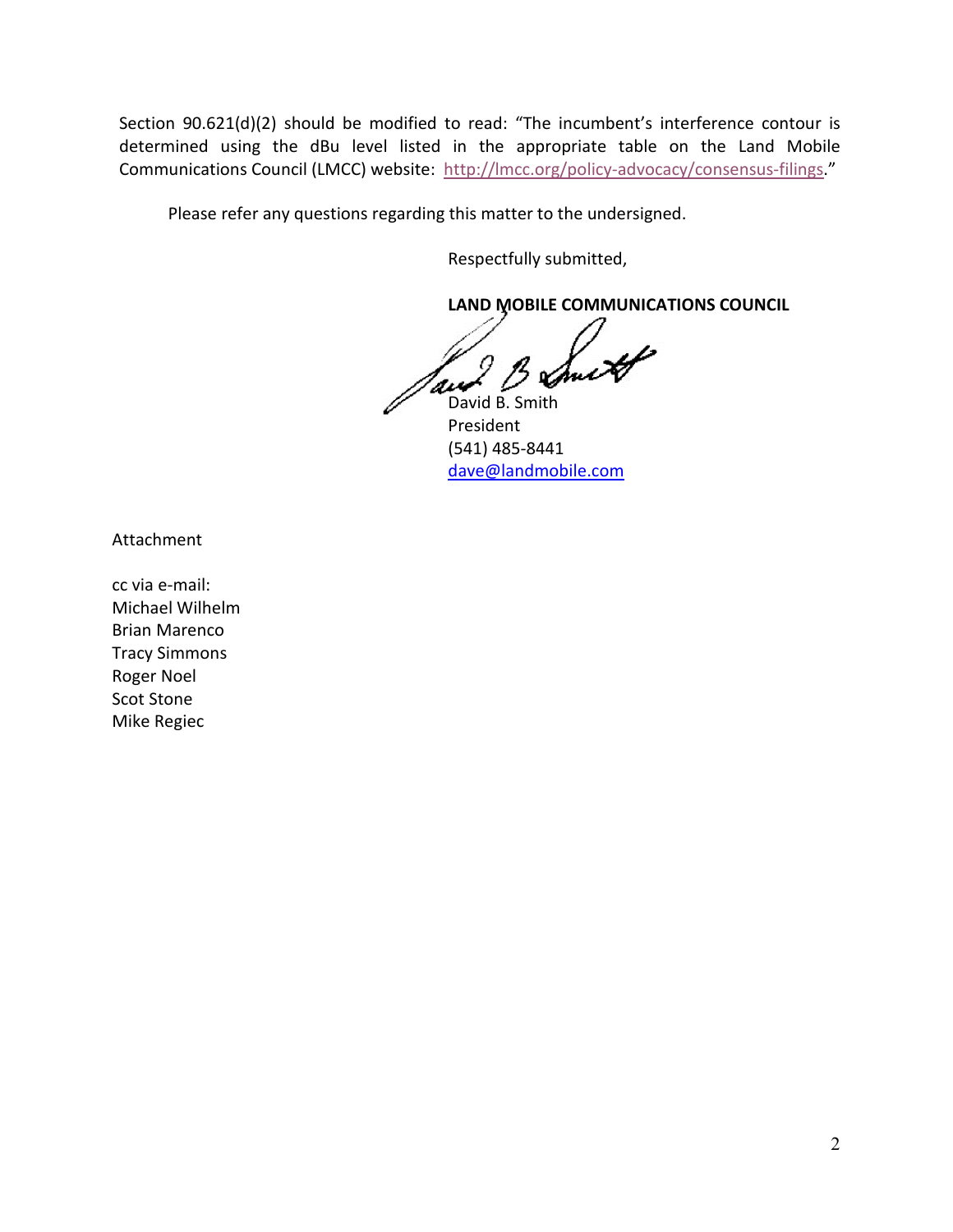Section 90.621(d)(2) should be modified to read: "The incumbent's interference contour is determined using the dBu level listed in the appropriate table on the Land Mobile Communications Council (LMCC) website: http://lmcc.org/policy-advocacy/consensus-filings."

Please refer any questions regarding this matter to the undersigned.

Respectfully submitted,

**LAND MOBILE COMMUNICATIONS COUNCIL** 

and B. Smith

President (541) 485-8441 dave@landmobile.com

Attachment

cc via e-mail: Michael Wilhelm Brian Marenco Tracy Simmons Roger Noel Scot Stone Mike Regiec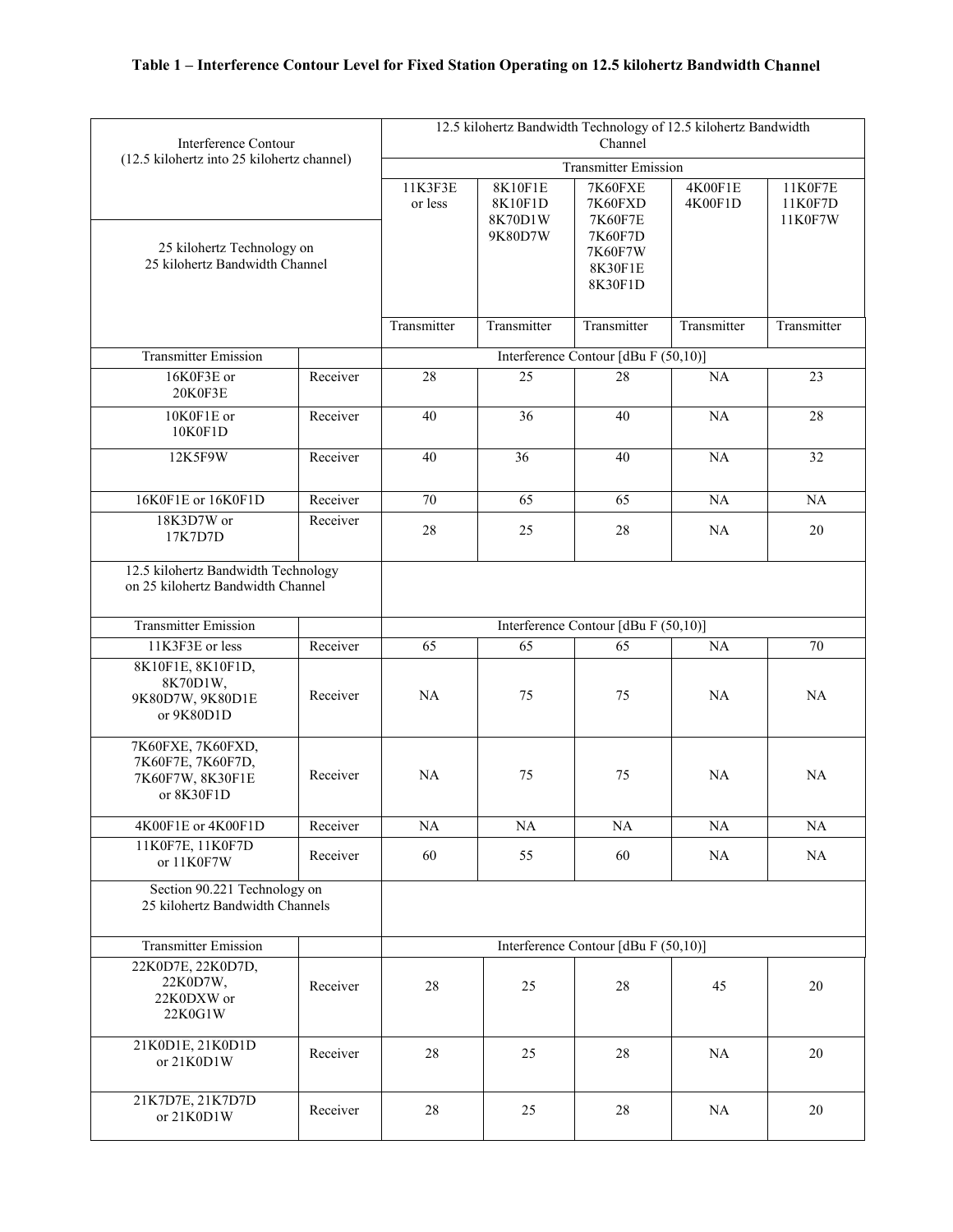| Interference Contour<br>(12.5 kilohertz into 25 kilohertz channel)       |                                      | 12.5 kilohertz Bandwidth Technology of 12.5 kilohertz Bandwidth<br>Channel |                                          |                                                                           |                    |                               |  |
|--------------------------------------------------------------------------|--------------------------------------|----------------------------------------------------------------------------|------------------------------------------|---------------------------------------------------------------------------|--------------------|-------------------------------|--|
|                                                                          |                                      | <b>Transmitter Emission</b>                                                |                                          |                                                                           |                    |                               |  |
| 25 kilohertz Technology on<br>25 kilohertz Bandwidth Channel             |                                      | 11K3F3E<br>or less                                                         | 8K10F1E<br>8K10F1D<br>8K70D1W<br>9K80D7W | 7K60FXE<br>7K60FXD<br>7K60F7E<br>7K60F7D<br>7K60F7W<br>8K30F1E<br>8K30F1D | 4K00F1E<br>4K00F1D | 11K0F7E<br>11K0F7D<br>11K0F7W |  |
|                                                                          |                                      | Transmitter                                                                | Transmitter                              | Transmitter                                                               | Transmitter        | Transmitter                   |  |
| <b>Transmitter Emission</b>                                              |                                      |                                                                            |                                          | Interference Contour [dBu F (50,10)]                                      |                    |                               |  |
| 16K0F3E or<br>20K0F3E                                                    | Receiver                             | 28                                                                         | 25                                       | 28                                                                        | NA                 | 23                            |  |
| 10K0F1E or<br>10K0F1D                                                    | Receiver                             | 40                                                                         | 36                                       | 40                                                                        | NA                 | 28                            |  |
| 12K5F9W                                                                  | Receiver                             | 40                                                                         | 36                                       | 40                                                                        | NA                 | 32                            |  |
| 16K0F1E or 16K0F1D                                                       | Receiver                             | 70                                                                         | 65                                       | 65                                                                        | NA                 | NA                            |  |
| 18K3D7W or<br>17K7D7D                                                    | Receiver                             | 28                                                                         | 25                                       | 28                                                                        | <b>NA</b>          | 20                            |  |
| 12.5 kilohertz Bandwidth Technology<br>on 25 kilohertz Bandwidth Channel |                                      |                                                                            |                                          |                                                                           |                    |                               |  |
| <b>Transmitter Emission</b>                                              | Interference Contour [dBu F (50,10)] |                                                                            |                                          |                                                                           |                    |                               |  |
| 11K3F3E or less                                                          | Receiver                             | 65                                                                         | 65                                       | 65                                                                        | NA                 | 70                            |  |
| 8K10F1E, 8K10F1D,<br>8K70D1W,<br>9K80D7W, 9K80D1E<br>or 9K80D1D          | Receiver                             | <b>NA</b>                                                                  | 75                                       | 75                                                                        | <b>NA</b>          | NA                            |  |
| 7K60FXE, 7K60FXD,<br>7K60F7E, 7K60F7D,<br>7K60F7W, 8K30F1E<br>or 8K30F1D | Receiver                             | NA                                                                         | 75                                       | 75                                                                        | NA                 | NA                            |  |
| 4K00F1E or 4K00F1D                                                       | Receiver                             | NA                                                                         | NA                                       | NA                                                                        | NA                 | NA                            |  |
| 11K0F7E, 11K0F7D<br>or 11K0F7W                                           | Receiver                             | 60                                                                         | 55                                       | 60                                                                        | <b>NA</b>          | <b>NA</b>                     |  |
| Section 90.221 Technology on<br>25 kilohertz Bandwidth Channels          |                                      |                                                                            |                                          |                                                                           |                    |                               |  |
| <b>Transmitter Emission</b>                                              | Interference Contour [dBu F (50,10)] |                                                                            |                                          |                                                                           |                    |                               |  |
| 22K0D7E, 22K0D7D,<br>22K0D7W,<br>22K0DXW or<br>22K0G1W                   | Receiver                             | $28\,$                                                                     | 25                                       | 28                                                                        | 45                 | $20\,$                        |  |
| 21K0D1E, 21K0D1D<br>or 21K0D1W                                           | Receiver                             | 28                                                                         | 25                                       | $28\,$                                                                    | $\rm NA$           | 20                            |  |
| 21K7D7E, 21K7D7D<br>or 21K0D1W                                           | Receiver                             | $28\,$                                                                     | 25                                       | 28                                                                        | NA                 | $20\,$                        |  |